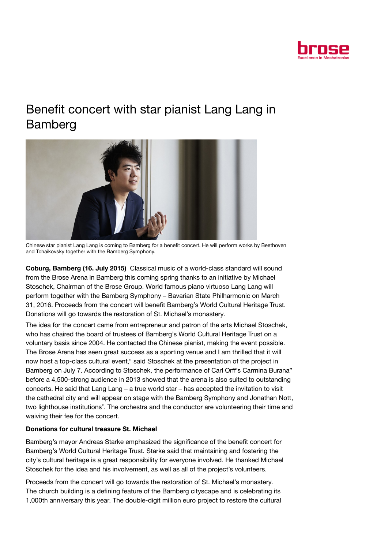

## Benefit concert with star pianist Lang Lang in Bamberg



Chinese star pianist Lang Lang is coming to Bamberg for a benefit concert. He will perform works by Beethoven and Tchaikovsky together with the Bamberg Symphony.

Coburg, Bamberg (16. July 2015) Classical music of a world-class standard will sound from the Brose Arena in Bamberg this coming spring thanks to an initiative by Michael Stoschek, Chairman of the Brose Group. World famous piano virtuoso Lang Lang will perform together with the Bamberg Symphony – Bavarian State Philharmonic on March 31, 2016. Proceeds from the concert will benefit Bamberg's World Cultural Heritage Trust. Donations will go towards the restoration of St. Michael's monastery.

The idea for the concert came from entrepreneur and patron of the arts Michael Stoschek, who has chaired the board of trustees of Bamberg's World Cultural Heritage Trust on a voluntary basis since 2004. He contacted the Chinese pianist, making the event possible. The Brose Arena has seen great success as a sporting venue and I am thrilled that it will now host a top-class cultural event," said Stoschek at the presentation of the project in Bamberg on July 7. According to Stoschek, the performance of Carl Orff's Carmina Burana" before a 4,500-strong audience in 2013 showed that the arena is also suited to outstanding concerts. He said that Lang Lang – a true world star – has accepted the invitation to visit the cathedral city and will appear on stage with the Bamberg Symphony and Jonathan Nott, two lighthouse institutions". The orchestra and the conductor are volunteering their time and waiving their fee for the concert.

## Donations for cultural treasure St. Michael

Bamberg's mayor Andreas Starke emphasized the significance of the benefit concert for Bamberg's World Cultural Heritage Trust. Starke said that maintaining and fostering the city's cultural heritage is a great responsibility for everyone involved. He thanked Michael Stoschek for the idea and his involvement, as well as all of the project's volunteers.

Proceeds from the concert will go towards the restoration of St. Michael's monastery. The church building is a defining feature of the Bamberg cityscape and is celebrating its 1,000th anniversary this year. The double-digit million euro project to restore the cultural